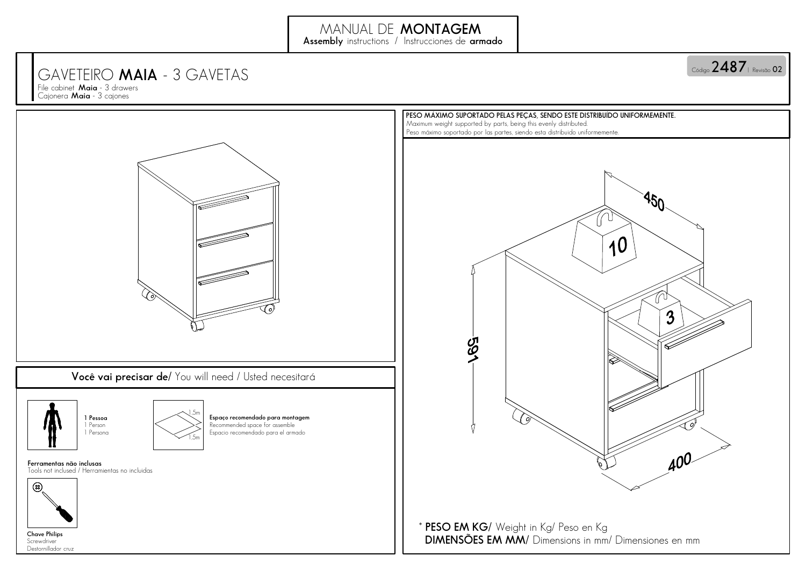## GAVETEIRO **MAIA** - 3 GAVETAS

**Maia** - 3 cajones File cabinet **Maia** - 3 drawers<br>Cajonera **Maia** - 3 cajones File cabinet **Maia**





**1 Pessoa** 1 Person1 Persona



Recommended space for assemble Espacio recomendado para el armado**Espaço recomendado para montagem**

Tools not inclused / Herramientas no incluidas **Ferramentas não inclusas**



Screwdriver Destornillador cruz**Chave Philips**



**\* PESO EM KG/**Weight in Kg/ Peso en Kg**DIMENSÕES EM MM/** Dimensions in mm/ Dimensiones en mm

 $\circ$ ódigo 2487 | Revisão 02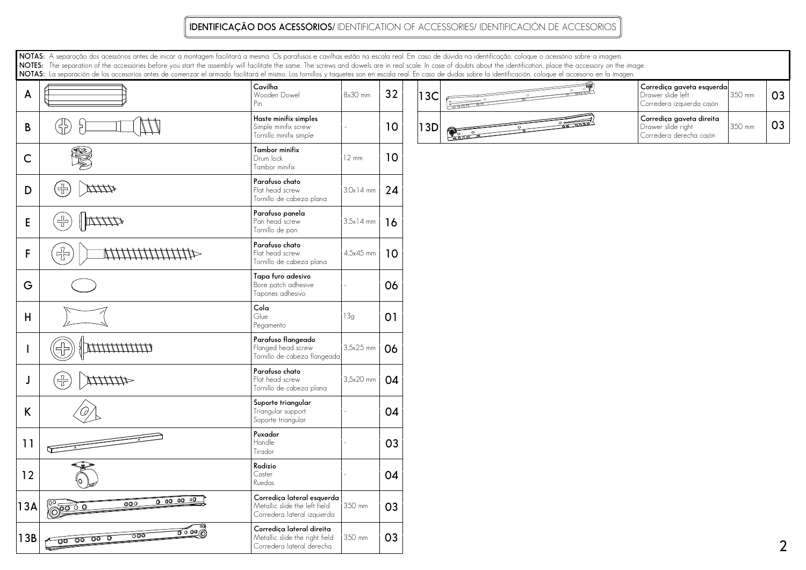## **IDENTIFICAÇÃO DOS ACESSÓRIOS/** IDENTIFICATION OF ACCESSORIES/ IDENTIFICACIÓN DE ACCESORIOS

**NOTAS:**A separação dos acessórios antes de inicar a montagem facilitará a mesma. Os parafusos e cavilhas estão na escala real. Em caso de dúvida na identificação, coloque o acessório sobre a imagem. **NOTES:**The separation of the accessories before you start the assembly will facilitate the same. The screws and dowels are in real scale. In case of doubts about the identification, place the accessory on the image. **NOTAS:**La separación de los accesorios antes de comenzar el armado facilitará el mismo. Los tornillos y taquetes son en escala real. En caso de dudas sobre la identificación, coloque el accesorio en la imagen.

| A            |                                                                 | Cavilha<br>Wooden Dowel<br>Pin                                                             | 8x30 mm         | 32             | 13C |  | Corrediça gaveta esquerda<br>Drawer slide left<br>Corredera izquierda cajón | 350 mm | $\mathsf{O}$ |
|--------------|-----------------------------------------------------------------|--------------------------------------------------------------------------------------------|-----------------|----------------|-----|--|-----------------------------------------------------------------------------|--------|--------------|
| $\mathsf B$  | ({})                                                            | Haste minifix simples<br>Simple minifix screw<br>Tornillo minifix simple                   |                 | 10             | 13D |  | Corrediça gaveta direita<br>Drawer slide right<br>Corredera derecha cajón   | 350 mm | $\mathsf{O}$ |
| $\mathsf{C}$ | <b>AB</b>                                                       | Tambor minifix<br>Drum lock<br>Tambor minifix                                              | $12 \text{ mm}$ | 10             |     |  |                                                                             |        |              |
| D            | (*)<br>MMW                                                      | Parafuso chato<br>Flat head screw<br>Tornillo de cabeza plana                              | $3.0x14$ mm     | 24             |     |  |                                                                             |        |              |
| $\mathsf E$  | $\langle \frac{\sqrt{3}}{2} \rangle$<br>$\frac{1}{2}$           | Parafuso panela<br>Pan head screw<br>Tornillo de pan                                       | $3.5x14$ mm     | 16             |     |  |                                                                             |        |              |
| $\mathsf{F}$ | $\overline{\mathbb{F}}$                                         | Parafuso chato<br>Flat head screw<br>Tornillo de cabeza plana                              | 4,5x45 mm       | 10             |     |  |                                                                             |        |              |
| G            |                                                                 | Tapa furo adesivo<br>Bore patch adhesive<br>Tapones adhesivo                               |                 | 06             |     |  |                                                                             |        |              |
| $\sf H$      |                                                                 | $C$ ola<br>Glue<br>Pegamento                                                               | 13g             | O <sub>1</sub> |     |  |                                                                             |        |              |
|              | ,,,,,,,,,,,,,                                                   | Parafuso flangeado<br>Flanged head screw<br>Tornillo de cabeza flangeada                   | 3,5x25 mm       | 06             |     |  |                                                                             |        |              |
| J            | (*)<br>41111111                                                 | Parafuso chato<br>Flat head screw<br>Tornillo de cabeza plana                              | 3,5x20 mm       | 04             |     |  |                                                                             |        |              |
| K            |                                                                 | Suporte triangular<br>Triangular support<br>Soporte triangular                             |                 | 04             |     |  |                                                                             |        |              |
| 11           | ڪ                                                               | Puxador<br>Handle<br>Tirador                                                               |                 | 03             |     |  |                                                                             |        |              |
| 12           |                                                                 | Rodízio<br>Caster<br>Ruedas                                                                |                 | 04             |     |  |                                                                             |        |              |
| 13A          | 000000<br>000<br>$\frac{1}{\sqrt{200}}$ 0                       | Corrediça lateral esquerda<br>Metallic slide the left field<br>Corredera lateral izquierda | 350 mm          | 03             |     |  |                                                                             |        |              |
| 13B          | ಕ್ಯೂ<br>$\overline{000}$<br>0000000<br>$\overline{\phantom{a}}$ | Corrediça lateral direita<br>Metallic slide the right field<br>Corredera lateral derecha   | 350 mm          | 03             |     |  |                                                                             |        |              |

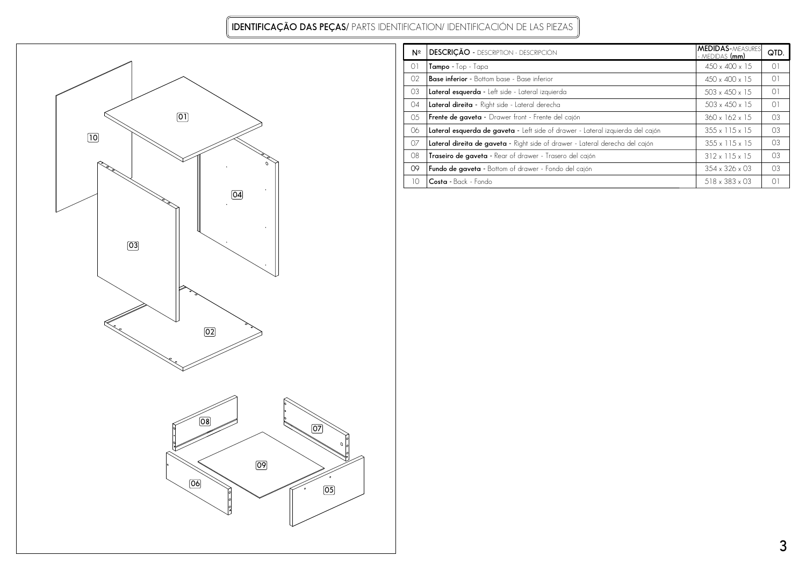**IDENTIFICAÇÃO DAS PEÇAS/** PARTS IDENTIFICATION/ IDENTIFICACIÓN DE LAS PIEZAS



| Nº             | <b>DESCRIÇÃO -</b> DESCRIPTION - DESCRIPCIÓN                                   | <b>MEDIDAS-MEASURES</b><br>- MEDIDAS (mm) | QTD.           |
|----------------|--------------------------------------------------------------------------------|-------------------------------------------|----------------|
| O <sub>1</sub> | $Tampo - Top - Tapa$                                                           | $450 \times 400 \times 15$                | $\Omega$       |
| 02             | <b>Base inferior</b> - Bottom base - Base inferior                             | $450 \times 400 \times 15$                | $\Omega$       |
| 03             | Lateral esquerda - Left side - Lateral izquierda                               | $503 \times 450 \times 15$                | $\Omega$       |
| 04             | Lateral direita - Right side - Lateral derecha                                 | $503 \times 450 \times 15$                | O <sub>1</sub> |
| 05             | Frente de gaveta - Drawer front - Frente del cajón                             | $360 \times 162 \times 15$                | O <sub>3</sub> |
| 06             | Lateral esquerda de gaveta - Left side of drawer - Lateral izquierda del cajón | $355 \times 115 \times 15$                | 03             |
| 07             | Lateral direita de gaveta - Right side of drawer - Lateral derecha del cajón   | $355 \times 115 \times 15$                | O <sub>3</sub> |
| 08             | Traseiro de gaveta - Rear of drawer - Trasero del cajón                        | $312 \times 115 \times 15$                | 03             |
| OQ             | Fundo de gaveta - Bottom of drawer - Fondo del cajón                           | $354 \times 326 \times 03$                | O <sub>3</sub> |
| 10             | Costa - Back - Fondo                                                           | $518 \times 383 \times 03$                | O1             |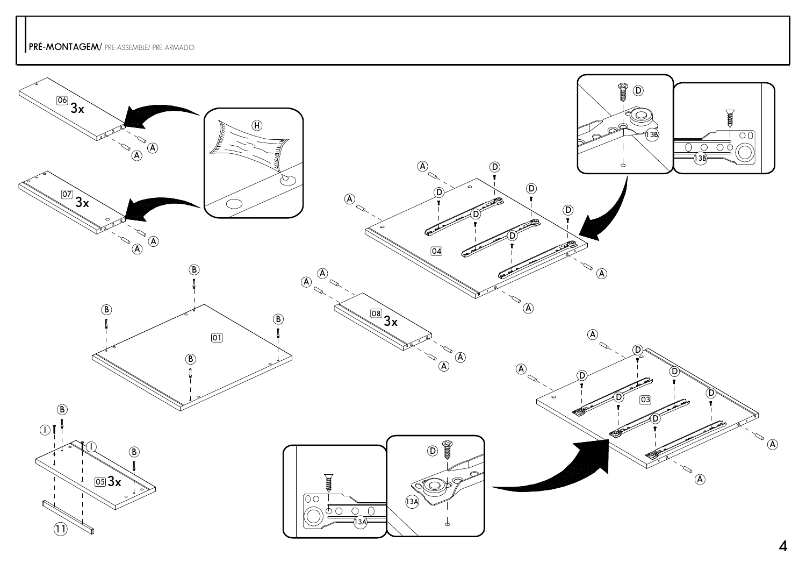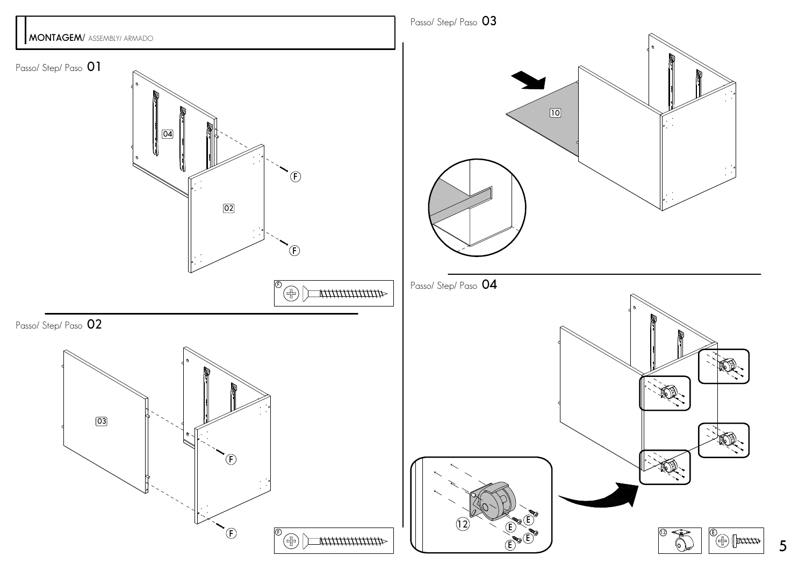